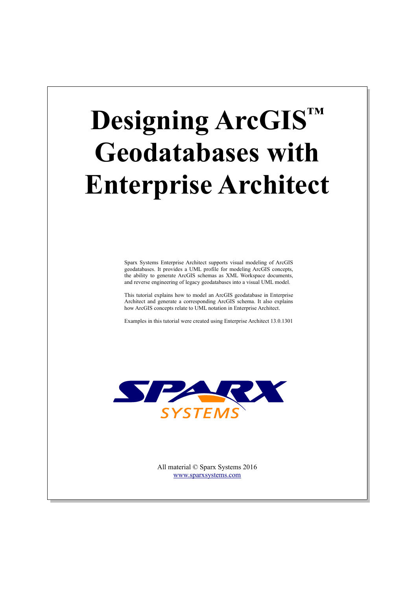# **Designing ArcGIS™ Geodatabases with Enterprise Architect**

Sparx Systems Enterprise Architect supports visual modeling of ArcGIS geodatabases. It provides a UML profile for modeling ArcGIS concepts, the ability to generate ArcGIS schemas as XML Workspace documents, and reverse engineering of legacy geodatabases into a visual UML model.

This tutorial explains how to model an ArcGIS geodatabase in Enterprise Architect and generate a corresponding ArcGIS schema. It also explains how ArcGIS concepts relate to UML notation in Enterprise Architect.

Examples in this tutorial were created using Enterprise Architect 13.0.1301



All material © Sparx Systems 2016 [www.sparxsystems.com](http://www.sparxsystems.com/)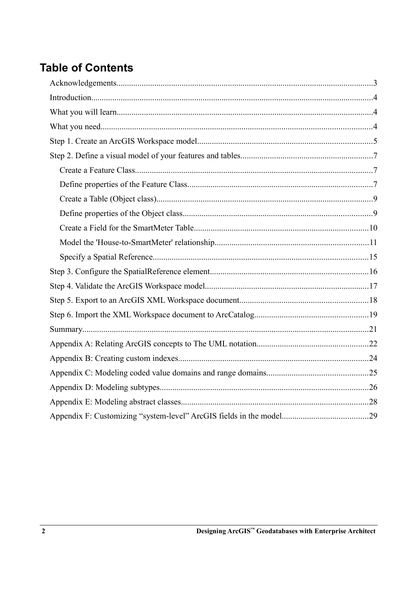## **Table of Contents**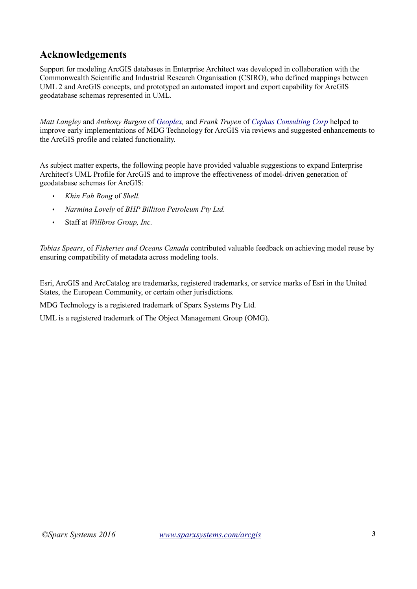## **Acknowledgements**

Support for modeling ArcGIS databases in Enterprise Architect was developed in collaboration with the Commonwealth Scientific and Industrial Research Organisation (CSIRO), who defined mappings between UML 2 and ArcGIS concepts, and prototyped an automated import and export capability for ArcGIS geodatabase schemas represented in UML.

*Matt Langley* and *Anthony Burgon* of *[Geoplex,](http://geoplex.com.au/)* and *Frank Truyen* of *[Cephas Consulting Corp](http://cephas.cc/)* helped to improve early implementations of MDG Technology for ArcGIS via reviews and suggested enhancements to the ArcGIS profile and related functionality.

As subject matter experts, the following people have provided valuable suggestions to expand Enterprise Architect's UML Profile for ArcGIS and to improve the effectiveness of model-driven generation of geodatabase schemas for ArcGIS:

- *Khin Fah Bong* of *Shell.*
- *Narmina Lovely* of *BHP Billiton Petroleum Pty Ltd.*
- Staff at *Willbros Group, Inc.*

*Tobias Spears*, of *Fisheries and Oceans Canada* contributed valuable feedback on achieving model reuse by ensuring compatibility of metadata across modeling tools.

Esri, ArcGIS and ArcCatalog are trademarks, registered trademarks, or service marks of Esri in the United States, the European Community, or certain other jurisdictions.

MDG Technology is a registered trademark of Sparx Systems Pty Ltd.

UML is a registered trademark of The Object Management Group (OMG).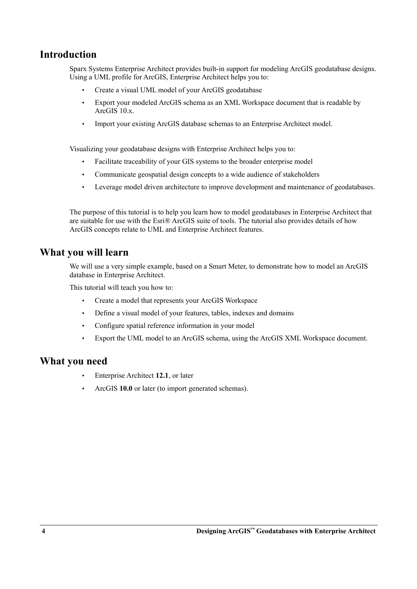## **Introduction**

Sparx Systems Enterprise Architect provides built-in support for modeling ArcGIS geodatabase designs. Using a UML profile for ArcGIS, Enterprise Architect helps you to:

- Create a visual UML model of your ArcGIS geodatabase
- Export your modeled ArcGIS schema as an XML Workspace document that is readable by ArcGIS 10.x.
- Import your existing ArcGIS database schemas to an Enterprise Architect model.

Visualizing your geodatabase designs with Enterprise Architect helps you to:

- Facilitate traceability of your GIS systems to the broader enterprise model
- Communicate geospatial design concepts to a wide audience of stakeholders
- Leverage model driven architecture to improve development and maintenance of geodatabases.

The purpose of this tutorial is to help you learn how to model geodatabases in Enterprise Architect that are suitable for use with the Esri® ArcGIS suite of tools. The tutorial also provides details of how ArcGIS concepts relate to UML and Enterprise Architect features.

#### **What you will learn**

We will use a very simple example, based on a Smart Meter, to demonstrate how to model an ArcGIS database in Enterprise Architect.

This tutorial will teach you how to:

- Create a model that represents your ArcGIS Workspace
- Define a visual model of your features, tables, indexes and domains
- Configure spatial reference information in your model
- Export the UML model to an ArcGIS schema, using the ArcGIS XML Workspace document.

#### **What you need**

- Enterprise Architect **12.1**, or later
- ArcGIS **10.0** or later (to import generated schemas).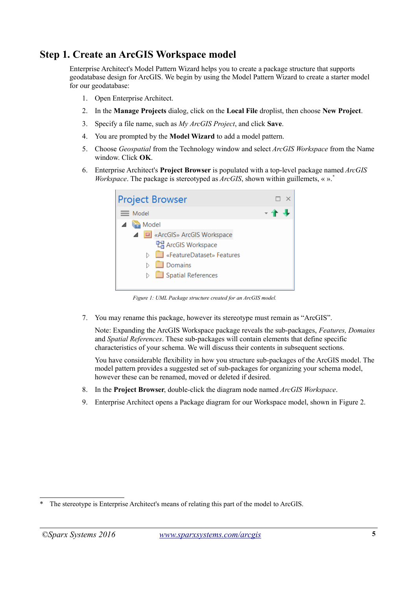## **Step 1. Create an ArcGIS Workspace model**

Enterprise Architect's Model Pattern Wizard helps you to create a package structure that supports geodatabase design for ArcGIS. We begin by using the Model Pattern Wizard to create a starter model for our geodatabase:

- 1. Open Enterprise Architect.
- 2. In the **Manage Projects** dialog, click on the **Local File** droplist, then choose **New Project**.
- 3. Specify a file name, such as *My ArcGIS Project*, and click **Save**.
- 4. You are prompted by the **Model Wizard** to add a model pattern.
- 5. Choose *Geospatial* from the Technology window and select *ArcGIS Workspace* from the Name window. Click **OK**.
- 6. Enterprise Architect's **Project Browser** is populated with a top-level package named *ArcGIS Workspace*. The package is stereotyped as *ArcGIS*, shown within guillemets, « ». *[\\*](#page-4-0)*



*Figure 1: UML Package structure created for an ArcGIS model.*

7. You may rename this package, however its stereotype must remain as "ArcGIS".

Note: Expanding the ArcGIS Workspace package reveals the sub-packages, *Features, Domains* and *Spatial References*. These sub-packages will contain elements that define specific characteristics of your schema. We will discuss their contents in subsequent sections.

You have considerable flexibility in how you structure sub-packages of the ArcGIS model. The model pattern provides a suggested set of sub-packages for organizing your schema model, however these can be renamed, moved or deleted if desired.

- 8. In the **Project Browser**, double-click the diagram node named *ArcGIS Workspace*.
- 9. Enterprise Architect opens a Package diagram for our Workspace model, shown in [Figure 2.](#page-5-0)

<span id="page-4-0"></span><sup>\*</sup> The stereotype is Enterprise Architect's means of relating this part of the model to ArcGIS.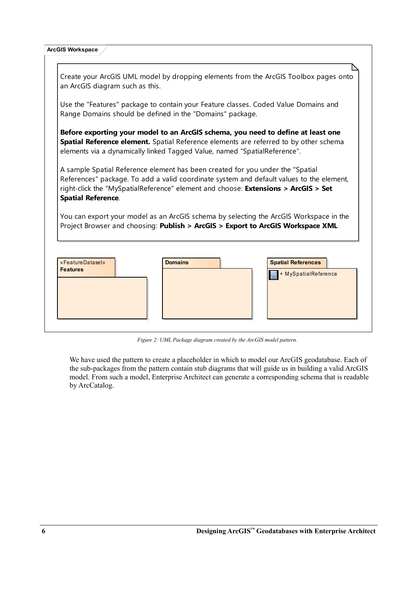| <b>ArcGIS Workspace</b>                                                                                                                                                                                                                                                                       |  |  |  |  |
|-----------------------------------------------------------------------------------------------------------------------------------------------------------------------------------------------------------------------------------------------------------------------------------------------|--|--|--|--|
| Create your ArcGIS UML model by dropping elements from the ArcGIS Toolbox pages onto                                                                                                                                                                                                          |  |  |  |  |
| an ArcGIS diagram such as this.                                                                                                                                                                                                                                                               |  |  |  |  |
| Use the "Features" package to contain your Feature classes. Coded Value Domains and<br>Range Domains should be defined in the "Domains" package.                                                                                                                                              |  |  |  |  |
| Before exporting your model to an ArcGIS schema, you need to define at least one<br>Spatial Reference element. Spatial Reference elements are referred to by other schema<br>elements via a dynamically linked Tagged Value, named "SpatialReference".                                        |  |  |  |  |
| A sample Spatial Reference element has been created for you under the "Spatial<br>References" package. To add a valid coordinate system and default values to the element,<br>right-click the "MySpatialReference" element and choose: Extensions > ArcGIS > Set<br><b>Spatial Reference.</b> |  |  |  |  |
| You can export your model as an ArcGIS schema by selecting the ArcGIS Workspace in the<br>Project Browser and choosing: Publish > ArcGIS > Export to ArcGIS Workspace XML                                                                                                                     |  |  |  |  |
| <b>Domains</b><br><b>Spatial References</b><br>«FeatureDataset»                                                                                                                                                                                                                               |  |  |  |  |
| <b>Features</b><br>+ MySpatialReference                                                                                                                                                                                                                                                       |  |  |  |  |
|                                                                                                                                                                                                                                                                                               |  |  |  |  |

<span id="page-5-0"></span>*Figure 2: UML Package diagram created by the ArcGIS model pattern.*

We have used the pattern to create a placeholder in which to model our ArcGIS geodatabase. Each of the sub-packages from the pattern contain stub diagrams that will guide us in building a valid ArcGIS model. From such a model, Enterprise Architect can generate a corresponding schema that is readable by ArcCatalog.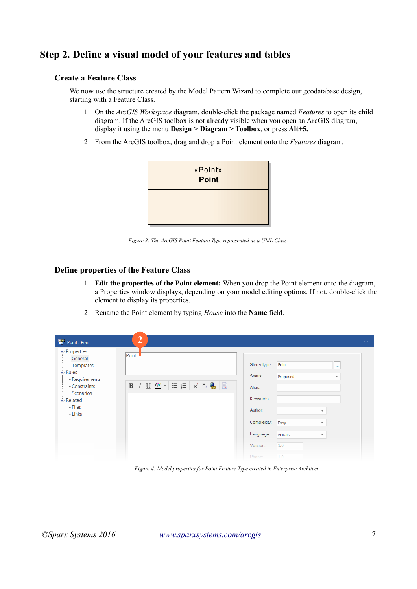## **Step 2. Define a visual model of your features and tables**

#### **Create a Feature Class**

We now use the structure created by the Model Pattern Wizard to complete our geodatabase design, starting with a Feature Class.

- 1 On the *ArcGIS Workspace* diagram, double-click the package named *Features* to open its child diagram. If the ArcGIS toolbox is not already visible when you open an ArcGIS diagram, display it using the menu **Design > Diagram > Toolbox**, or press **Alt+5.**
- 2 From the ArcGIS toolbox, drag and drop a Point element onto the *Features* diagram.



*Figure 3: The ArcGIS Point Feature Type represented as a UML Class.*

#### **Define properties of the Feature Class**

- 1 **Edit the properties of the Point element:** When you drop the Point element onto the diagram, a Properties window displays, depending on your model editing options. If not, double-click the element to display its properties.
- 2 Rename the Point element by typing *House* into the **Name** field.

| Point : Point                                                                                                                                           | $\mathbf{2}^{\prime}$<br>$\times$                                                                                                                                                                                                                                                                                                               |  |
|---------------------------------------------------------------------------------------------------------------------------------------------------------|-------------------------------------------------------------------------------------------------------------------------------------------------------------------------------------------------------------------------------------------------------------------------------------------------------------------------------------------------|--|
| <b>□ Properties</b><br>- General<br>- Templates<br>白·Rules<br>- Requirements<br>- Constraints<br>Scenarios<br><b>白·Related</b><br>$-$ Files<br>$-Links$ | Point<br>Stereotype:<br>Point<br>ш.<br>Status:<br>Proposed<br>÷<br>B $I \cup \overline{A^2}$ $\cdot$ $\equiv \equiv$ $x^2$ $x^2$ $\Box$<br>Alias:<br>Keywords:<br>Author:<br>$\overline{\phantom{a}}$<br>Complexity:<br>Easy<br>$\overline{\phantom{a}}$<br>Language:<br>ArcGIS<br>$\overline{\phantom{a}}$<br>1.0<br>Version:<br>Phase:<br>1.0 |  |

*Figure 4: Model properties for Point Feature Type created in Enterprise Architect.*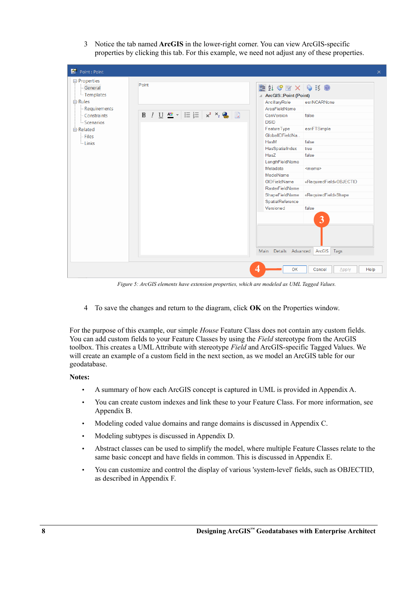3 Notice the tab named **ArcGIS** in the lower-right corner. You can view ArcGIS-specific properties by clicking this tab. For this example, we need not adjust any of these properties.



*Figure 5: ArcGIS elements have extension properties, which are modeled as UML Tagged Values.*

4 To save the changes and return to the diagram, click **OK** on the Properties window.

For the purpose of this example, our simple *House* Feature Class does not contain any custom fields. You can add custom fields to your Feature Classes by using the *Field* stereotype from the ArcGIS toolbox. This creates a UML Attribute with stereotype *Field* and ArcGIS-specific Tagged Values. We will create an example of a custom field in the next section, as we model an ArcGIS table for our geodatabase.

#### **Notes:**

- A summary of how each ArcGIS concept is captured in UML is provided in Appendix A.
- You can create custom indexes and link these to your Feature Class. For more information, see Appendix B.
- Modeling coded value domains and range domains is discussed in Appendix C.
- Modeling subtypes is discussed in Appendix D.
- Abstract classes can be used to simplify the model, where multiple Feature Classes relate to the same basic concept and have fields in common. This is discussed in Appendix E.
- You can customize and control the display of various 'system-level' fields, such as OBJECTID, as described in Appendix F.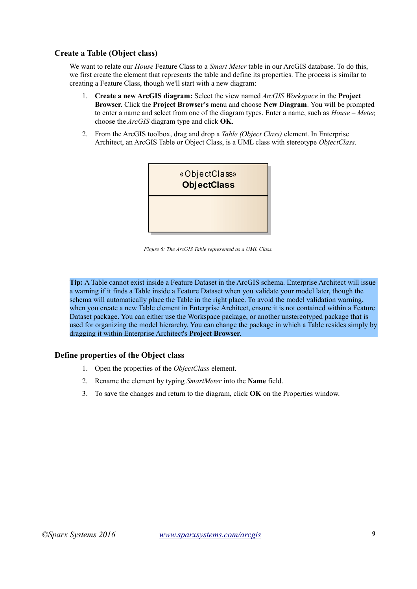#### **Create a Table (Object class)**

We want to relate our *House* Feature Class to a *Smart Meter* table in our ArcGIS database. To do this, we first create the element that represents the table and define its properties. The process is similar to creating a Feature Class, though we'll start with a new diagram:

- 1. **Create a new ArcGIS diagram:** Select the view named *ArcGIS Workspace* in the **Project Browser**. Click the **Project Browser's** menu and choose **New Diagram**. You will be prompted to enter a name and select from one of the diagram types. Enter a name, such as *House – Meter,* choose the *ArcGIS* diagram type and click **OK**.
- 2. From the ArcGIS toolbox, drag and drop a *Table (Object Class)* element. In Enterprise Architect, an ArcGIS Table or Object Class, is a UML class with stereotype *ObjectClass.*



*Figure 6: The ArcGIS Table represented as a UML Class.*

**Tip:** A Table cannot exist inside a Feature Dataset in the ArcGIS schema. Enterprise Architect will issue a warning if it finds a Table inside a Feature Dataset when you validate your model later, though the schema will automatically place the Table in the right place. To avoid the model validation warning, when you create a new Table element in Enterprise Architect, ensure it is not contained within a Feature Dataset package. You can either use the Workspace package, or another unstereotyped package that is used for organizing the model hierarchy. You can change the package in which a Table resides simply by dragging it within Enterprise Architect's **Project Browser**.

#### **Define properties of the Object class**

- 1. Open the properties of the *ObjectClass* element.
- 2. Rename the element by typing *SmartMeter* into the **Name** field.
- 3. To save the changes and return to the diagram, click **OK** on the Properties window.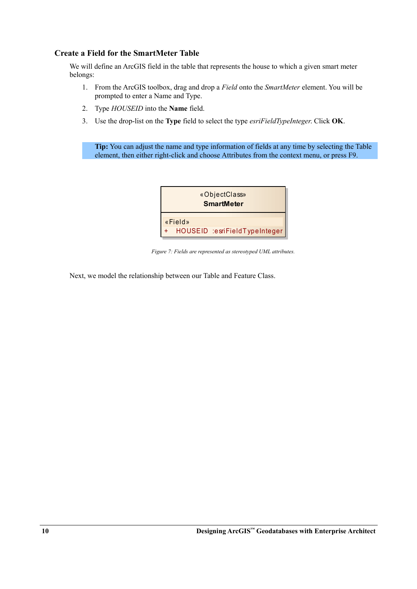#### **Create a Field for the SmartMeter Table**

We will define an ArcGIS field in the table that represents the house to which a given smart meter belongs:

- 1. From the ArcGIS toolbox, drag and drop a *Field* onto the *SmartMeter* element. You will be prompted to enter a Name and Type.
- 2. Type *HOUSEID* into the **Name** field.
- 3. Use the drop-list on the **Type** field to select the type *esriFieldTypeInteger*. Click **OK**.

**Tip:** You can adjust the name and type information of fields at any time by selecting the Table element, then either right-click and choose Attributes from the context menu, or press F9.



*Figure 7: Fields are represented as stereotyped UML attributes.*

Next, we model the relationship between our Table and Feature Class.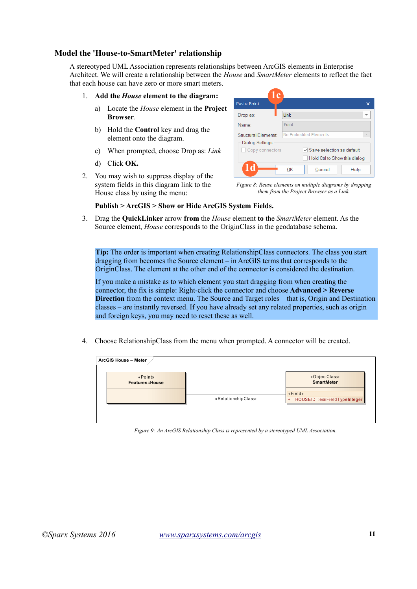#### **Model the 'House-to-SmartMeter' relationship**

A stereotyped UML Association represents relationships between ArcGIS elements in Enterprise Architect. We will create a relationship between the *House* and *SmartMeter* elements to reflect the fact that each house can have zero or more smart meters.

- 1. **Add the** *House* **element to the diagram:**
	- a) Locate the *House* element in the **Project Browser**.
	- b) Hold the **Control** key and drag the element onto the diagram.
	- c) When prompted, choose Drop as: *Link*
	- d) Click **OK.**
- 2. You may wish to suppress display of the system fields in this diagram link to the House class by using the menu:

| $\mathbf c$                                                                   |                                  |  |  |  |
|-------------------------------------------------------------------------------|----------------------------------|--|--|--|
| Paste Point<br>×                                                              |                                  |  |  |  |
| Drop as:                                                                      | Link                             |  |  |  |
| Name:                                                                         | Point                            |  |  |  |
| No Embedded Elements<br><b>Structural Elements:</b><br><b>Dialog Settings</b> |                                  |  |  |  |
| Copy connectors                                                               | $\vee$ Save selection as default |  |  |  |
|                                                                               | Hold Ctrl to Show this dialog    |  |  |  |
|                                                                               | OK<br>Cancel<br>Help             |  |  |  |

*Figure 8: Reuse elements on multiple diagrams by dropping them from the Project Browser as a Link.*

#### **Publish > ArcGIS > Show or Hide ArcGIS System Fields.**

3. Drag the **QuickLinker** arrow **from** the *House* element **to** the *SmartMeter* element. As the Source element, *House* corresponds to the OriginClass in the geodatabase schema.

**Tip:** The order is important when creating RelationshipClass connectors. The class you start dragging from becomes the Source element – in ArcGIS terms that corresponds to the OriginClass. The element at the other end of the connector is considered the destination.

If you make a mistake as to which element you start dragging from when creating the connector, the fix is simple: Right-click the connector and choose **Advanced > Reverse Direction** from the context menu. The Source and Target roles – that is, Origin and Destination classes – are instantly reversed. If you have already set any related properties, such as origin and foreign keys, you may need to reset these as well.

4. Choose RelationshipClass from the menu when prompted. A connector will be created.



*Figure 9: An ArcGIS Relationship Class is represented by a stereotyped UML Association.*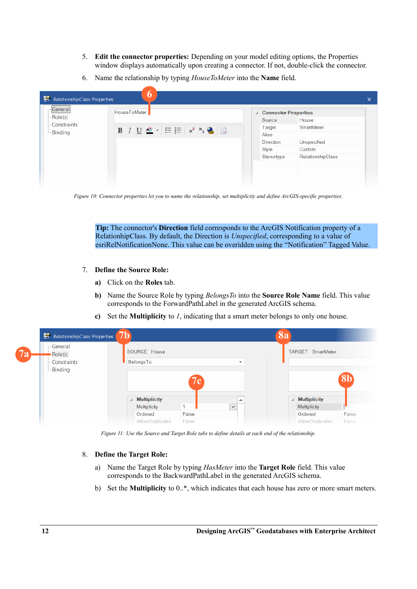- 5. **Edit the connector properties:** Depending on your model editing options, the Properties window displays automatically upon creating a connector. If not, double-click the connector.
- 6. Name the relationship by typing *HouseToMeter* into the **Name** field.

| General        | HouseToMeter                                                                      | <b>△ Connector Properties</b> |                   |  |
|----------------|-----------------------------------------------------------------------------------|-------------------------------|-------------------|--|
| $\sim$ Role(s) |                                                                                   | Source                        | House             |  |
| - Constraints  | B $I \cup \frac{A^H}{2}$ $\cdot$ $\equiv \frac{1}{2}$ $x^2$ $x^3$ $\cdot$ $\cdot$ | Target                        | SmartMeter        |  |
| <b>Binding</b> |                                                                                   | Alias                         |                   |  |
|                |                                                                                   | <b>Direction</b>              | Unspecified       |  |
|                |                                                                                   | Style                         | Custom            |  |
|                |                                                                                   | Stereotype                    | RelationshipClass |  |
|                |                                                                                   |                               |                   |  |

*Figure 10: Connector properties let you to name the relationship, set multiplicity and define ArcGIS-specific properties.*

**Tip:** The connector's **Direction** field corresponds to the ArcGIS Notification property of a RelationhipClass. By default, the Direction is *Unspecified*, corresponding to a value of esriRelNotificationNone. This value can be overidden using the "Notification" Tagged Value.

- 7. **Define the Source Role:**
	- **a)** Click on the **Roles** tab.
	- **b)** Name the Source Role by typing *BelongsTo* into the **Source Role Name** field. This value corresponds to the ForwardPathLabel in the generated ArcGIS schema.
	- **c)** Set the **Multiplicity** to *1*, indicating that a smart meter belongs to only one house.

| RelationshipClass Properties     | 7b                      |       |                          | <b>8a</b>                |                |
|----------------------------------|-------------------------|-------|--------------------------|--------------------------|----------------|
| -General<br><b>7a</b><br>Role(s) | SOURCE House            |       |                          | TARGET SmartMeter        |                |
| - Constraints                    | BelongsTo               |       | $\overline{\phantom{a}}$ |                          |                |
| <b>Binding</b>                   |                         |       |                          |                          |                |
|                                  |                         | 7 c   |                          |                          | 8 <sub>b</sub> |
|                                  |                         |       |                          |                          |                |
|                                  | <b>Multiplicity</b>     |       | ▲                        | <b>Multiplicity</b><br>◢ |                |
|                                  | Multiplicity            |       | $\checkmark$             | <b>Multiplicity</b>      |                |
|                                  | Ordered                 | False |                          | Ordered                  | False          |
|                                  | <b>Allow Duplicates</b> | False |                          | <b>Allow Duplicates</b>  | False          |

*Figure 11: Use the Source and Target Role tabs to define details at each end of the relationship.*

#### 8. **Define the Target Role:**

- a) Name the Target Role by typing *HasMeter* into the **Target Role** field. This value corresponds to the BackwardPathLabel in the generated ArcGIS schema.
- b) Set the **Multiplicity** to 0..\*, which indicates that each house has zero or more smart meters.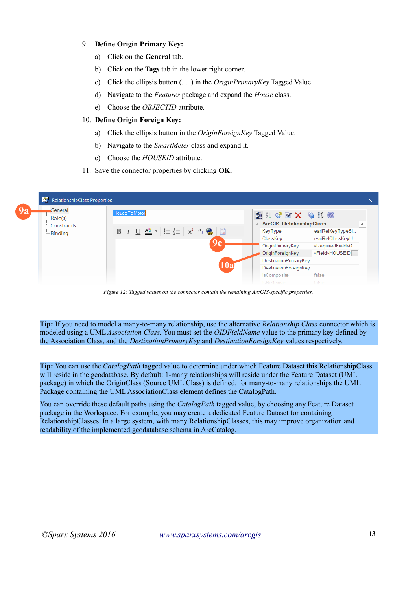#### 9. **Define Origin Primary Key:**

- a) Click on the **General** tab.
- b) Click on the **Tags** tab in the lower right corner.
- c) Click the ellipsis button (. . .) in the *OriginPrimaryKey* Tagged Value.
- d) Navigate to the *Features* package and expand the *House* class.
- e) Choose the *OBJECTID* attribute.

#### 10. **Define Origin Foreign Key:**

- a) Click the ellipsis button in the *OriginForeignKey* Tagged Value.
- b) Navigate to the *SmartMeter* class and expand it.
- c) Choose the *HOUSEID* attribute.
- 11. Save the connector properties by clicking **OK.**



*Figure 12: Tagged values on the connector contain the remaining ArcGIS-specific properties.*

**Tip:** If you need to model a many-to-many relationship, use the alternative *Relationship Class* connector which is modeled using a UML *Association Class.* You must set the *OIDFieldName* value to the primary key defined by the Association Class, and the *DestinationPrimaryKey* and *DestinationForeignKey* values respectively.

**Tip:** You can use the *CatalogPath* tagged value to determine under which Feature Dataset this RelationshipClass will reside in the geodatabase. By default: 1-many relationships will reside under the Feature Dataset (UML package) in which the OriginClass (Source UML Class) is defined; for many-to-many relationships the UML Package containing the UML AssociationClass element defines the CatalogPath.

You can override these default paths using the *CatalogPath* tagged value, by choosing any Feature Dataset package in the Workspace. For example, you may create a dedicated Feature Dataset for containing RelationshipClasses. In a large system, with many RelationshipClasses, this may improve organization and readability of the implemented geodatabase schema in ArcCatalog.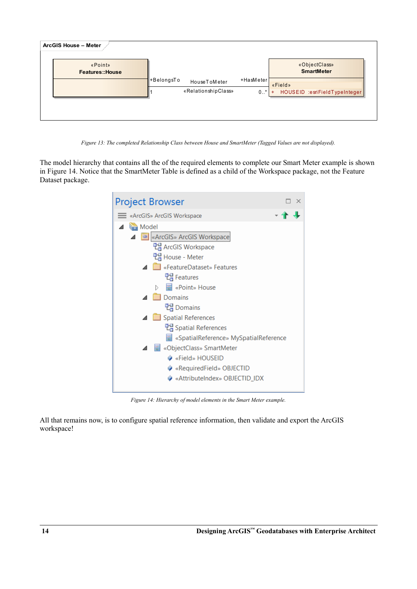

*Figure 13: The completed Relationship Class between House and SmartMeter (Tagged Values are not displayed).*

The model hierarchy that contains all the of the required elements to complete our Smart Meter example is shown in [Figure 14.](#page-13-0) Notice that the SmartMeter Table is defined as a child of the Workspace package, not the Feature Dataset package.



*Figure 14: Hierarchy of model elements in the Smart Meter example.*

<span id="page-13-0"></span>All that remains now, is to configure spatial reference information, then validate and export the ArcGIS workspace!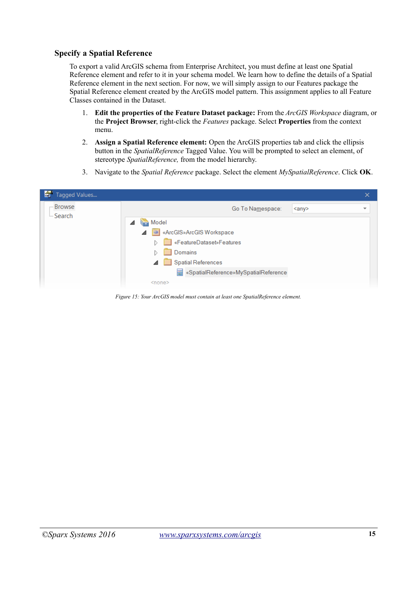#### **Specify a Spatial Reference**

To export a valid ArcGIS schema from Enterprise Architect, you must define at least one Spatial Reference element and refer to it in your schema model. We learn how to define the details of a Spatial Reference element in the next section. For now, we will simply assign to our Features package the Spatial Reference element created by the ArcGIS model pattern. This assignment applies to all Feature Classes contained in the Dataset.

- 1. **Edit the properties of the Feature Dataset package:** From the *ArcGIS Workspace* diagram, or the **Project Browser**, right-click the *Features* package. Select **Properties** from the context menu.
- 2. **Assign a Spatial Reference element:** Open the ArcGIS properties tab and click the ellipsis button in the *SpatialReference* Tagged Value. You will be prompted to select an element, of stereotype *SpatialReference,* from the model hierarchy.
- 3. Navigate to the *Spatial Reference* package. Select the element *MySpatialReference*. Click **OK**.

| 图<br>Tagged Values     |                                        | $\times$                 |
|------------------------|----------------------------------------|--------------------------|
| - Browse<br>$-$ Search | Go To Namespace:<br>$\langle$ any      | $\overline{\phantom{a}}$ |
|                        | Model                                  |                          |
|                        | ArcGIS»ArcGIS Workspace                |                          |
|                        | FeatureDataset»Features                |                          |
|                        | Domains                                |                          |
|                        | Spatial References                     |                          |
|                        | 图 «SpatialReference»MySpatialReference |                          |
|                        | <none></none>                          |                          |

*Figure 15: Your ArcGIS model must contain at least one SpatialReference element.*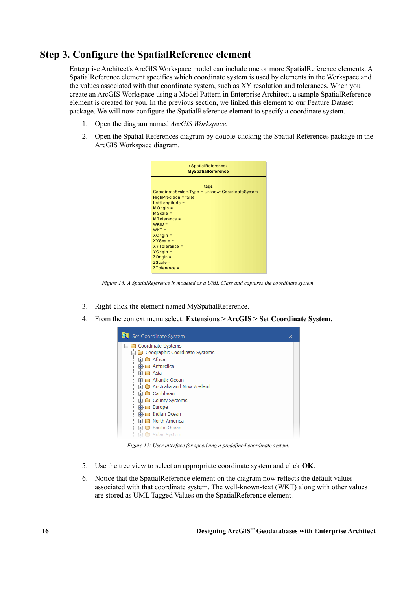## **Step 3. Configure the SpatialReference element**

Enterprise Architect's ArcGIS Workspace model can include one or more SpatialReference elements. A SpatialReference element specifies which coordinate system is used by elements in the Workspace and the values associated with that coordinate system, such as XY resolution and tolerances. When you create an ArcGIS Workspace using a Model Pattern in Enterprise Architect, a sample SpatialReference element is created for you. In the previous section, we linked this element to our Feature Dataset package. We will now configure the SpatialReference element to specify a coordinate system.

- 1. Open the diagram named *ArcGIS Workspace.*
- 2. Open the Spatial References diagram by double-clicking the Spatial References package in the ArcGIS Workspace diagram.

| «SpatialReference»<br><b>MySpatialReference</b> |  |  |  |  |
|-------------------------------------------------|--|--|--|--|
|                                                 |  |  |  |  |
| tags                                            |  |  |  |  |
| CoordinateSystemType = UnknownCoordinateSystem  |  |  |  |  |
| HighPrecision = false                           |  |  |  |  |
| LeftLongitude =                                 |  |  |  |  |
| $MOriginal =$                                   |  |  |  |  |
| $MScale =$                                      |  |  |  |  |
| $MTolerance =$                                  |  |  |  |  |
| $WKID =$                                        |  |  |  |  |
| $WKT =$                                         |  |  |  |  |
| $X$ Origin =                                    |  |  |  |  |
| $XYZcale =$                                     |  |  |  |  |
| XYTolerance =                                   |  |  |  |  |
| $YO$ rigin =                                    |  |  |  |  |
| $ZO$ rigin =                                    |  |  |  |  |
| $ZScale =$                                      |  |  |  |  |
| $ZT$ olerance =                                 |  |  |  |  |

*Figure 16: A SpatialReference is modeled as a UML Class and captures the coordinate system.*

- 3. Right-click the element named MySpatialReference.
- 4. From the context menu select: **Extensions > ArcGIS > Set Coordinate System.**



*Figure 17: User interface for specifying a predefined coordinate system.*

- 5. Use the tree view to select an appropriate coordinate system and click **OK**.
- 6. Notice that the SpatialReference element on the diagram now reflects the default values associated with that coordinate system. The well-known-text (WKT) along with other values are stored as UML Tagged Values on the SpatialReference element.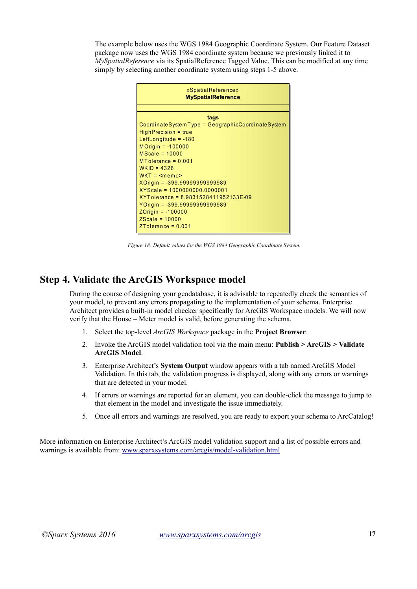The example below uses the WGS 1984 Geographic Coordinate System. Our Feature Dataset package now uses the WGS 1984 coordinate system because we previously linked it to *MySpatialReference* via its SpatialReference Tagged Value. This can be modified at any time simply by selecting another coordinate system using steps 1-5 above.



*Figure 18: Default values for the WGS 1984 Geographic Coordinate System.*

## **Step 4. Validate the ArcGIS Workspace model**

During the course of designing your geodatabase, it is advisable to repeatedly check the semantics of your model, to prevent any errors propagating to the implementation of your schema. Enterprise Architect provides a built-in model checker specifically for ArcGIS Workspace models. We will now verify that the House – Meter model is valid, before generating the schema.

- 1. Select the top-level *ArcGIS Workspace* package in the **Project Browser**.
- 2. Invoke the ArcGIS model validation tool via the main menu: **Publish > ArcGIS > Validate ArcGIS Model**.
- 3. Enterprise Architect's **System Output** window appears with a tab named ArcGIS Model Validation. In this tab, the validation progress is displayed, along with any errors or warnings that are detected in your model.
- 4. If errors or warnings are reported for an element, you can double-click the message to jump to that element in the model and investigate the issue immediately.
- 5. Once all errors and warnings are resolved, you are ready to export your schema to ArcCatalog!

More information on Enterprise Architect's ArcGIS model validation support and a list of possible errors and warnings is available from: [www.sparxsystems.com/arcgis/model-validation.html](http://www.sparxsystems.com/arcgis/model-validation.html)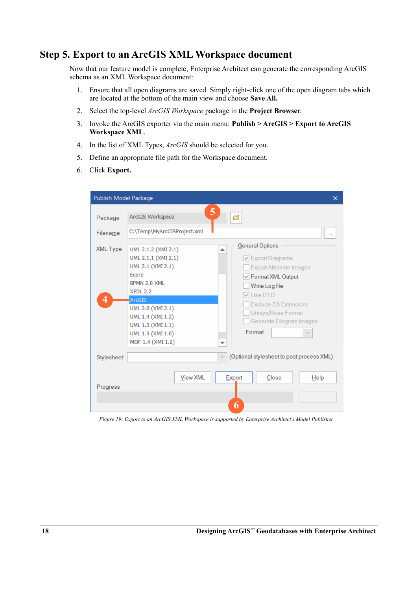## **Step 5. Export to an ArcGIS XML Workspace document**

Now that our feature model is complete, Enterprise Architect can generate the corresponding ArcGIS schema as an XML Workspace document:

- 1. Ensure that all open diagrams are saved. Simply right-click one of the open diagram tabs which are located at the bottom of the main view and choose **Save All.**
- 2. Select the top-level *ArcGIS Workspace* package in the **Project Browser**.
- 3. Invoke the ArcGIS exporter via the main menu: **Publish > ArcGIS > Export to ArcGIS Workspace XML**.
- 4. In the list of XML Types, *ArcGIS* should be selected for you.
- 5. Define an appropriate file path for the Workspace document.
- 6. Click **Export.**

| Publish Model Package          | ×                                                                                                                                                                                                                                                                                                                                                                                                                                                                                                       |
|--------------------------------|---------------------------------------------------------------------------------------------------------------------------------------------------------------------------------------------------------------------------------------------------------------------------------------------------------------------------------------------------------------------------------------------------------------------------------------------------------------------------------------------------------|
| Package<br>Filename            | 5<br>ArcGIS Workspace<br>đ<br>C:\Temp\MyArcGISProject.xml<br>$\cdots$                                                                                                                                                                                                                                                                                                                                                                                                                                   |
| XML Type<br>4                  | General Options<br>UML 2.1.2 (XMI 2.1)<br>UML 2.1.1 (XMI 2.1)<br>$\vee$ Export Diagrams<br>UML 2.1 (XMI 2.1)<br><b>Export Alternate Images</b><br>Fcore<br>$\sqrt{}$ Format XML Output<br>BPMN 2.0 XML<br>Write Log file<br>XPDL 2.2<br>V Use DTD<br><b>ArcGIS</b><br><b>Exclude EA Extensions</b><br>UML 2.0 (XMI 2.1)<br>Unisys/Rose Format<br>UML 1.4 (XMI 1.2)<br>Generate Diagram Images<br>UML 1.3 (XMI 1.1)<br>Format<br>UML 1.3 (XMI 1.0)<br>$\overline{\phantom{a}}$<br>MOF 1.4 (XMI 1.2)<br>▼ |
| <b>Stylesheet:</b><br>Progress | (Optional stylesheet to post process XML)<br>$\mathcal{L}_{\mathcal{F}}$<br>Export<br><b>View XML</b><br>Close<br>Help<br>6                                                                                                                                                                                                                                                                                                                                                                             |

*Figure 19: Export to an ArcGIS XML Workspace is supported by Enterprise Architect's Model Publisher.*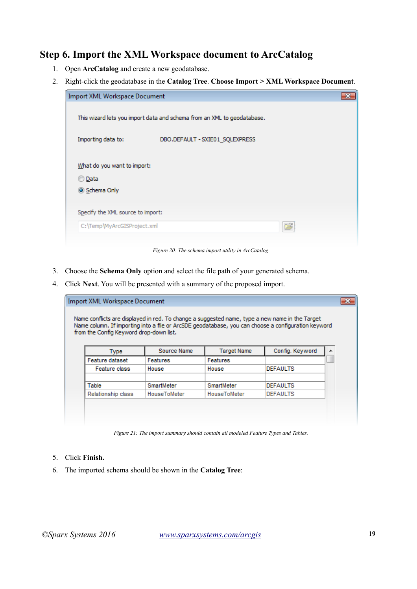## **Step 6. Import the XML Workspace document to ArcCatalog**

- 1. Open **ArcCatalog** and create a new geodatabase.
- 2. Right-click the geodatabase in the **Catalog Tree**. **Choose Import > XML Workspace Document**.



*Figure 20: The schema import utility in ArcCatalog.*

- 3. Choose the **Schema Only** option and select the file path of your generated schema.
- 4. Click **Next**. You will be presented with a summary of the proposed import.

| <b>Import XML Workspace Document</b><br>Name conflicts are displayed in red. To change a suggested name, type a new name in the Target<br>Name column. If importing into a file or ArcSDE geodatabase, you can choose a configuration keyword<br>from the Config Keyword drop-down list. |              |              |                 |  |  |
|------------------------------------------------------------------------------------------------------------------------------------------------------------------------------------------------------------------------------------------------------------------------------------------|--------------|--------------|-----------------|--|--|
| Config. Keyword<br>Source Name<br><b>Target Name</b><br><b>Type</b>                                                                                                                                                                                                                      |              |              |                 |  |  |
| <b>Feature dataset</b><br><b>Features</b><br><b>Features</b>                                                                                                                                                                                                                             |              |              |                 |  |  |
| Feature class                                                                                                                                                                                                                                                                            | House        | House        | <b>DEFAULTS</b> |  |  |
| Table                                                                                                                                                                                                                                                                                    | SmartMeter   | SmartMeter   | <b>DEFAULTS</b> |  |  |
| Relationship class                                                                                                                                                                                                                                                                       | HouseToMeter | HouseToMeter | <b>DEFAULTS</b> |  |  |
|                                                                                                                                                                                                                                                                                          |              |              |                 |  |  |

*Figure 21: The import summary should contain all modeled Feature Types and Tables.*

#### 5. Click **Finish.**

6. The imported schema should be shown in the **Catalog Tree**: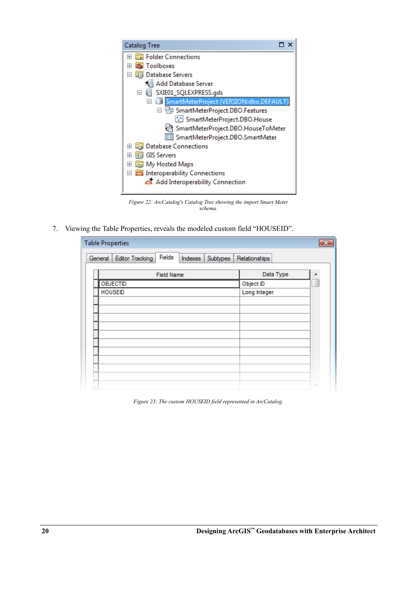

*Figure 22: ArcCatalog's Catalog Tree showing the import Smart Meter schema.*

7. Viewing the Table Properties, reveals the modeled custom field "HOUSEID".

| <b>Table Properties</b>                                            |               |                          |  |  |
|--------------------------------------------------------------------|---------------|--------------------------|--|--|
| Fields<br><b>Editor Tracking</b><br>General<br>Indexes<br>Subtypes | Relationships |                          |  |  |
| <b>Field Name</b>                                                  | Data Type     |                          |  |  |
| <b>OBJECTID</b>                                                    | Object ID     |                          |  |  |
| <b>HOUSEID</b>                                                     | Long Integer  |                          |  |  |
|                                                                    |               |                          |  |  |
|                                                                    |               |                          |  |  |
|                                                                    |               |                          |  |  |
|                                                                    |               |                          |  |  |
|                                                                    |               |                          |  |  |
|                                                                    |               |                          |  |  |
|                                                                    |               |                          |  |  |
|                                                                    |               |                          |  |  |
|                                                                    |               |                          |  |  |
|                                                                    |               | $\overline{\phantom{a}}$ |  |  |

*Figure 23: The custom HOUSEID field represented in ArcCatalog.*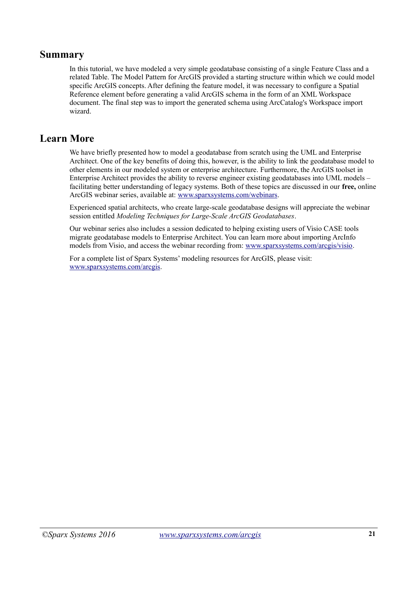### **Summary**

In this tutorial, we have modeled a very simple geodatabase consisting of a single Feature Class and a related Table. The Model Pattern for ArcGIS provided a starting structure within which we could model specific ArcGIS concepts. After defining the feature model, it was necessary to configure a Spatial Reference element before generating a valid ArcGIS schema in the form of an XML Workspace document. The final step was to import the generated schema using ArcCatalog's Workspace import wizard.

## **Learn More**

We have briefly presented how to model a geodatabase from scratch using the UML and Enterprise Architect. One of the key benefits of doing this, however, is the ability to link the geodatabase model to other elements in our modeled system or enterprise architecture. Furthermore, the ArcGIS toolset in Enterprise Architect provides the ability to reverse engineer existing geodatabases into UML models – facilitating better understanding of legacy systems. Both of these topics are discussed in our **free,** online ArcGIS webinar series, available at: [www.sparxsystems.com/webinars.](http://www.sparxsystems.com/webinars)

Experienced spatial architects, who create large-scale geodatabase designs will appreciate the webinar session entitled *Modeling Techniques for Large-Scale ArcGIS Geodatabases*.

Our webinar series also includes a session dedicated to helping existing users of Visio CASE tools migrate geodatabase models to Enterprise Architect. You can learn more about importing ArcInfo models from Visio, and access the webinar recording from: [www.sparxsystems.com/arcgis/visio.](http://www.sparxsystems.com/arcgis/visio)

For a complete list of Sparx Systems' modeling resources for ArcGIS, please visit:  [www.sparxsystems.com/arcgis.](http://www.sparxsystems.com/arcgis)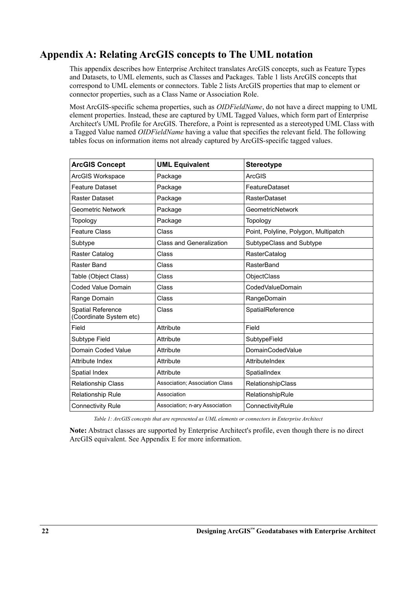## **Appendix A: Relating ArcGIS concepts to The UML notation**

This appendix describes how Enterprise Architect translates ArcGIS concepts, such as Feature Types and Datasets, to UML elements, such as Classes and Packages. [Table 1](#page-21-0) lists ArcGIS concepts that correspond to UML elements or connectors. [Table 2](#page-22-0) lists ArcGIS properties that map to element or connector properties, such as a Class Name or Association Role.

Most ArcGIS-specific schema properties, such as *OIDFieldName*, do not have a direct mapping to UML element properties. Instead, these are captured by UML Tagged Values, which form part of Enterprise Architect's UML Profile for ArcGIS. Therefore, a Point is represented as a stereotyped UML Class with a Tagged Value named *OIDFieldName* having a value that specifies the relevant field. The following tables focus on information items not already captured by ArcGIS-specific tagged values.

| <b>ArcGIS Concept</b>                               | <b>UML Equivalent</b>                 | <b>Stereotype</b>                    |
|-----------------------------------------------------|---------------------------------------|--------------------------------------|
| ArcGIS Workspace                                    | Package                               | <b>ArcGIS</b>                        |
| <b>Feature Dataset</b>                              | Package                               | FeatureDataset                       |
| Raster Dataset                                      | Package                               | <b>RasterDataset</b>                 |
| <b>Geometric Network</b>                            | Package                               | <b>GeometricNetwork</b>              |
| Topology                                            | Package                               | Topology                             |
| <b>Feature Class</b>                                | Class                                 | Point, Polyline, Polygon, Multipatch |
| Subtype                                             | <b>Class and Generalization</b>       | SubtypeClass and Subtype             |
| Raster Catalog                                      | Class                                 | RasterCatalog                        |
| Raster Band                                         | Class                                 | RasterBand                           |
| Table (Object Class)                                | Class                                 | ObjectClass                          |
| Coded Value Domain                                  | Class                                 | CodedValueDomain                     |
| Range Domain                                        | Class                                 | RangeDomain                          |
| <b>Spatial Reference</b><br>(Coordinate System etc) | Class                                 | SpatialReference                     |
| Field                                               | Attribute                             | Field                                |
| Subtype Field                                       | Attribute                             | SubtypeField                         |
| Domain Coded Value                                  | Attribute                             | <b>DomainCodedValue</b>              |
| Attribute Index                                     | Attribute                             | AttributeIndex                       |
| Spatial Index                                       | Attribute                             | SpatialIndex                         |
| <b>Relationship Class</b>                           | <b>Association: Association Class</b> | RelationshipClass                    |
| Relationship Rule                                   | Association                           | RelationshipRule                     |
| <b>Connectivity Rule</b>                            | Association; n-ary Association        | ConnectivityRule                     |

<span id="page-21-0"></span>*Table 1: ArcGIS concepts that are represented as UML elements or connectors in Enterprise Architect*

**Note:** Abstract classes are supported by Enterprise Architect's profile, even though there is no direct ArcGIS equivalent. See Appendix E for more information.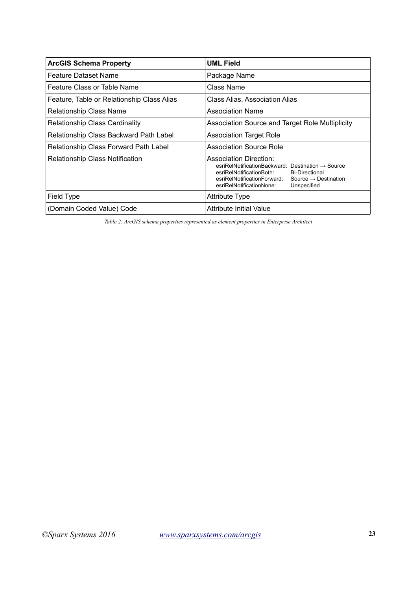| <b>ArcGIS Schema Property</b>              | <b>UML Field</b>                                                                                                                                                                                                                                           |
|--------------------------------------------|------------------------------------------------------------------------------------------------------------------------------------------------------------------------------------------------------------------------------------------------------------|
| <b>Feature Dataset Name</b>                | Package Name                                                                                                                                                                                                                                               |
| Feature Class or Table Name                | Class Name                                                                                                                                                                                                                                                 |
| Feature, Table or Relationship Class Alias | Class Alias, Association Alias                                                                                                                                                                                                                             |
| <b>Relationship Class Name</b>             | <b>Association Name</b>                                                                                                                                                                                                                                    |
| Relationship Class Cardinality             | Association Source and Target Role Multiplicity                                                                                                                                                                                                            |
| Relationship Class Backward Path Label     | <b>Association Target Role</b>                                                                                                                                                                                                                             |
| Relationship Class Forward Path Label      | <b>Association Source Role</b>                                                                                                                                                                                                                             |
| Relationship Class Notification            | Association Direction:<br>$esriRelNotificationBackward: Destination \rightarrow Source$<br>esriRelNotificationBoth:<br><b>Bi-Directional</b><br>esriRelNotificationForward:<br>Source $\rightarrow$ Destination<br>esriRelNotificationNone:<br>Unspecified |
| Field Type                                 | Attribute Type                                                                                                                                                                                                                                             |
| (Domain Coded Value) Code                  | Attribute Initial Value                                                                                                                                                                                                                                    |

<span id="page-22-0"></span>*Table 2: ArcGIS schema properties represented as element properties in Enterprise Architect*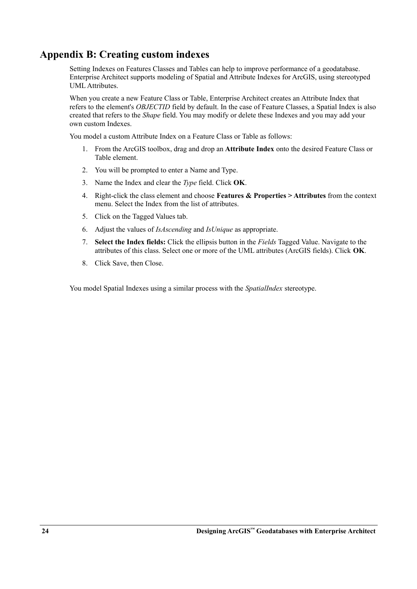## **Appendix B: Creating custom indexes**

Setting Indexes on Features Classes and Tables can help to improve performance of a geodatabase. Enterprise Architect supports modeling of Spatial and Attribute Indexes for ArcGIS, using stereotyped UML Attributes.

When you create a new Feature Class or Table, Enterprise Architect creates an Attribute Index that refers to the element's *OBJECTID* field by default. In the case of Feature Classes, a Spatial Index is also created that refers to the *Shape* field. You may modify or delete these Indexes and you may add your own custom Indexes.

You model a custom Attribute Index on a Feature Class or Table as follows:

- 1. From the ArcGIS toolbox, drag and drop an **Attribute Index** onto the desired Feature Class or Table element.
- 2. You will be prompted to enter a Name and Type.
- 3. Name the Index and clear the *Type* field. Click **OK**.
- 4. Right-click the class element and choose **Features & Properties > Attributes** from the context menu. Select the Index from the list of attributes.
- 5. Click on the Tagged Values tab.
- 6. Adjust the values of *IsAscending* and *IsUnique* as appropriate.
- 7. **Select the Index fields:** Click the ellipsis button in the *Fields* Tagged Value. Navigate to the attributes of this class. Select one or more of the UML attributes (ArcGIS fields). Click **OK**.
- 8. Click Save, then Close.

You model Spatial Indexes using a similar process with the *SpatialIndex* stereotype.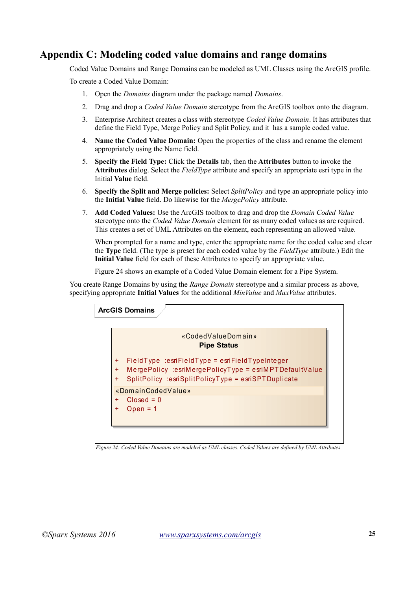## **Appendix C: Modeling coded value domains and range domains**

Coded Value Domains and Range Domains can be modeled as UML Classes using the ArcGIS profile.

To create a Coded Value Domain:

- 1. Open the *Domains* diagram under the package named *Domains*.
- 2. Drag and drop a *Coded Value Domain* stereotype from the ArcGIS toolbox onto the diagram.
- 3. Enterprise Architect creates a class with stereotype *Coded Value Domain*. It has attributes that define the Field Type, Merge Policy and Split Policy, and it has a sample coded value.
- 4. **Name the Coded Value Domain:** Open the properties of the class and rename the element appropriately using the Name field.
- 5. **Specify the Field Type:** Click the **Details** tab, then the **Attributes** button to invoke the **Attributes** dialog. Select the *FieldType* attribute and specify an appropriate esri type in the Initial **Value** field.
- 6. **Specify the Split and Merge policies:** Select *SplitPolicy* and type an appropriate policy into the **Initial Value** field. Do likewise for the *MergePolicy* attribute.
- 7. **Add Coded Values:** Use the ArcGIS toolbox to drag and drop the *Domain Coded Value* stereotype onto the *Coded Value Domain* element for as many coded values as are required. This creates a set of UML Attributes on the element, each representing an allowed value.

When prompted for a name and type, enter the appropriate name for the coded value and clear the **Type** field. (The type is preset for each coded value by the *FieldType* attribute.) Edit the **Initial Value** field for each of these Attributes to specify an appropriate value.

[Figure 24](#page-24-0) shows an example of a Coded Value Domain element for a Pipe System.

You create Range Domains by using the *Range Domain* stereotype and a similar process as above, specifying appropriate **Initial Values** for the additional *MinValue* and *MaxValue* attributes.



<span id="page-24-0"></span>*Figure 24: Coded Value Domains are modeled as UML classes. Coded Values are defined by UML Attributes.*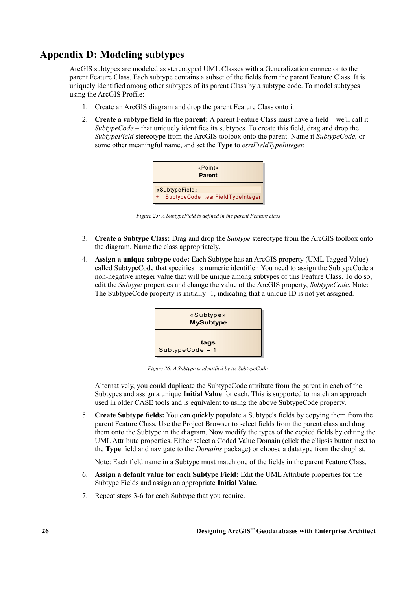## **Appendix D: Modeling subtypes**

ArcGIS subtypes are modeled as stereotyped UML Classes with a Generalization connector to the parent Feature Class. Each subtype contains a subset of the fields from the parent Feature Class. It is uniquely identified among other subtypes of its parent Class by a subtype code. To model subtypes using the ArcGIS Profile:

- 1. Create an ArcGIS diagram and drop the parent Feature Class onto it.
- 2. **Create a subtype field in the parent:** A parent Feature Class must have a field we'll call it *SubtypeCode –* that uniquely identifies its subtypes. To create this field, drag and drop the *SubtypeField* stereotype from the ArcGIS toolbox onto the parent. Name it *SubtypeCode,* or some other meaningful name, and set the **Type** to *esriFieldTypeInteger.*



*Figure 25: A SubtypeField is defined in the parent Feature class*

- 3. **Create a Subtype Class:** Drag and drop the *Subtype* stereotype from the ArcGIS toolbox onto the diagram. Name the class appropriately.
- 4. **Assign a unique subtype code:** Each Subtype has an ArcGIS property (UML Tagged Value) called SubtypeCode that specifies its numeric identifier. You need to assign the SubtypeCode a non-negative integer value that will be unique among subtypes of this Feature Class. To do so, edit the *Subtype* properties and change the value of the ArcGIS property, *SubtypeCode*. Note: The SubtypeCode property is initially -1, indicating that a unique ID is not yet assigned.



*Figure 26: A Subtype is identified by its SubtypeCode.*

Alternatively, you could duplicate the SubtypeCode attribute from the parent in each of the Subtypes and assign a unique **Initial Value** for each. This is supported to match an approach used in older CASE tools and is equivalent to using the above SubtypeCode property.

5. **Create Subtype fields:** You can quickly populate a Subtype's fields by copying them from the parent Feature Class. Use the Project Browser to select fields from the parent class and drag them onto the Subtype in the diagram. Now modify the types of the copied fields by editing the UML Attribute properties. Either select a Coded Value Domain (click the ellipsis button next to the **Type** field and navigate to the *Domains* package) or choose a datatype from the droplist.

Note: Each field name in a Subtype must match one of the fields in the parent Feature Class.

- 6. **Assign a default value for each Subtype Field:** Edit the UML Attribute properties for the Subtype Fields and assign an appropriate **Initial Value**.
- 7. Repeat steps 3-6 for each Subtype that you require.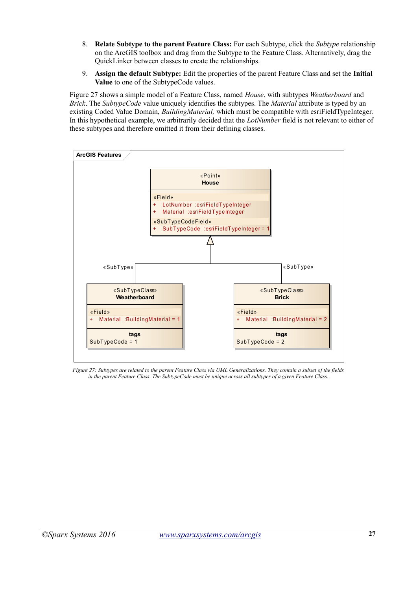- 8. **Relate Subtype to the parent Feature Class:** For each Subtype, click the *Subtype* relationship on the ArcGIS toolbox and drag from the Subtype to the Feature Class. Alternatively, drag the QuickLinker between classes to create the relationships.
- 9. **Assign the default Subtype:** Edit the properties of the parent Feature Class and set the **Initial Value** to one of the SubtypeCode values.

[Figure 27](#page-26-0) shows a simple model of a Feature Class, named *House*, with subtypes *Weatherboard* and *Brick*. The *SubtypeCode* value uniquely identifies the subtypes. The *Material* attribute is typed by an existing Coded Value Domain, *BuildingMaterial,* which must be compatible with esriFieldTypeInteger. In this hypothetical example, we arbitrarily decided that the *LotNumber* field is not relevant to either of these subtypes and therefore omitted it from their defining classes.



<span id="page-26-0"></span>*Figure 27: Subtypes are related to the parent Feature Class via UML Generalizations. They contain a subset of the fields in the parent Feature Class. The SubtypeCode must be unique across all subtypes of a given Feature Class.*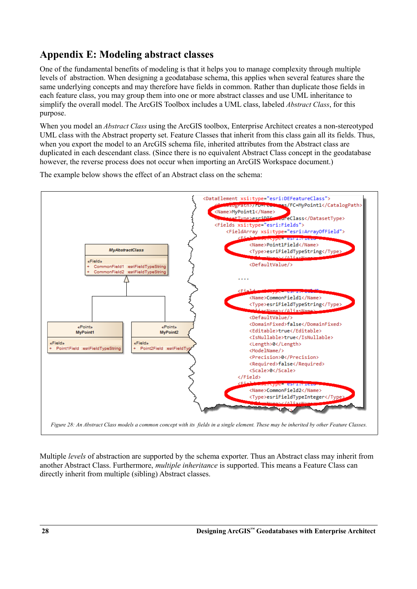## **Appendix E: Modeling abstract classes**

One of the fundamental benefits of modeling is that it helps you to manage complexity through multiple levels of abstraction. When designing a geodatabase schema, this applies when several features share the same underlying concepts and may therefore have fields in common. Rather than duplicate those fields in each feature class, you may group them into one or more abstract classes and use UML inheritance to simplify the overall model. The ArcGIS Toolbox includes a UML class, labeled *Abstract Class*, for this purpose.

When you model an *Abstract Class* using the ArcGIS toolbox, Enterprise Architect creates a non-stereotyped UML class with the Abstract property set. Feature Classes that inherit from this class gain all its fields. Thus, when you export the model to an ArcGIS schema file, inherited attributes from the Abstract class are duplicated in each descendant class. (Since there is no equivalent Abstract Class concept in the geodatabase however, the reverse process does not occur when importing an ArcGIS Workspace document.)

The example below shows the effect of an Abstract class on the schema:



Multiple *levels* of abstraction are supported by the schema exporter. Thus an Abstract class may inherit from another Abstract Class. Furthermore, *multiple inheritance* is supported. This means a Feature Class can directly inherit from multiple (sibling) Abstract classes.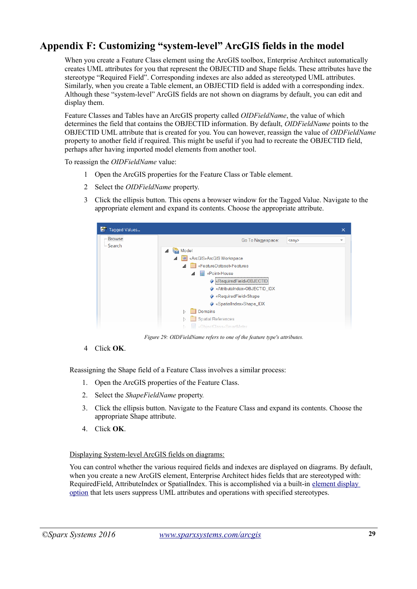## **Appendix F: Customizing "system-level" ArcGIS fields in the model**

When you create a Feature Class element using the ArcGIS toolbox, Enterprise Architect automatically creates UML attributes for you that represent the OBJECTID and Shape fields. These attributes have the stereotype "Required Field". Corresponding indexes are also added as stereotyped UML attributes. Similarly, when you create a Table element, an OBJECTID field is added with a corresponding index. Although these "system-level" ArcGIS fields are not shown on diagrams by default, you can edit and display them.

Feature Classes and Tables have an ArcGIS property called *OIDFieldName*, the value of which determines the field that contains the OBJECTID information. By default, *OIDFieldName* points to the OBJECTID UML attribute that is created for you. You can however, reassign the value of *OIDFieldName* property to another field if required. This might be useful if you had to recreate the OBJECTID field, perhaps after having imported model elements from another tool.

To reassign the *OIDFieldName* value:

- 1 Open the ArcGIS properties for the Feature Class or Table element.
- 2 Select the *OIDFieldName* property.
- 3 Click the ellipsis button. This opens a browser window for the Tagged Value. Navigate to the appropriate element and expand its contents. Choose the appropriate attribute.



*Figure 29: OIDFieldName refers to one of the feature type's attributes.*

4 Click **OK**.

Reassigning the Shape field of a Feature Class involves a similar process:

- 1. Open the ArcGIS properties of the Feature Class.
- 2. Select the *ShapeFieldName* property*.*
- 3. Click the ellipsis button. Navigate to the Feature Class and expand its contents. Choose the appropriate Shape attribute.
- 4. Click **OK**.

#### Displaying System-level ArcGIS fields on diagrams:

You can control whether the various required fields and indexes are displayed on diagrams. By default, when you create a new ArcGIS element, Enterprise Architect hides fields that are stereotyped with: RequiredField, AttributeIndex or SpatialIndex. This is accomplished via a built-in [element display](http://www.sparxsystems.com/enterprise_architect_user_guide/9.2/modeling_basics/setfeaturevisibility.html)  [option](http://www.sparxsystems.com/enterprise_architect_user_guide/9.2/modeling_basics/setfeaturevisibility.html) that lets users suppress UML attributes and operations with specified stereotypes.